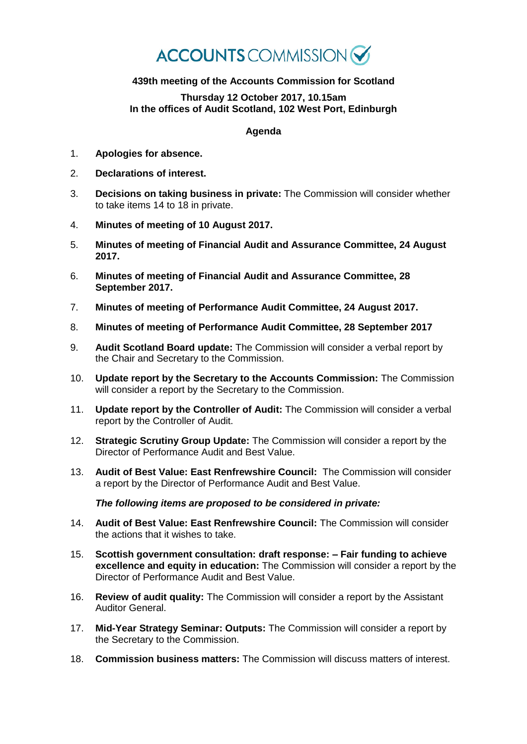## **ACCOUNTS** COMMISSION

## **439th meeting of the Accounts Commission for Scotland**

## **Thursday 12 October 2017, 10.15am In the offices of Audit Scotland, 102 West Port, Edinburgh**

## **Agenda**

- 1. **Apologies for absence.**
- 2. **Declarations of interest.**
- 3. **Decisions on taking business in private:** The Commission will consider whether to take items 14 to 18 in private.
- 4. **Minutes of meeting of 10 August 2017.**
- 5. **Minutes of meeting of Financial Audit and Assurance Committee, 24 August 2017.**
- 6. **Minutes of meeting of Financial Audit and Assurance Committee, 28 September 2017.**
- 7. **Minutes of meeting of Performance Audit Committee, 24 August 2017.**
- 8. **Minutes of meeting of Performance Audit Committee, 28 September 2017**
- 9. **Audit Scotland Board update:** The Commission will consider a verbal report by the Chair and Secretary to the Commission.
- 10. **Update report by the Secretary to the Accounts Commission:** The Commission will consider a report by the Secretary to the Commission.
- 11. **Update report by the Controller of Audit:** The Commission will consider a verbal report by the Controller of Audit.
- 12. **Strategic Scrutiny Group Update:** The Commission will consider a report by the Director of Performance Audit and Best Value.
- 13. **Audit of Best Value: East Renfrewshire Council:** The Commission will consider a report by the Director of Performance Audit and Best Value.

*The following items are proposed to be considered in private:*

- 14. **Audit of Best Value: East Renfrewshire Council:** The Commission will consider the actions that it wishes to take.
- 15. **Scottish government consultation: draft response: – Fair funding to achieve excellence and equity in education:** The Commission will consider a report by the Director of Performance Audit and Best Value.
- 16. **Review of audit quality:** The Commission will consider a report by the Assistant Auditor General.
- 17. **Mid-Year Strategy Seminar: Outputs:** The Commission will consider a report by the Secretary to the Commission.
- 18. **Commission business matters:** The Commission will discuss matters of interest.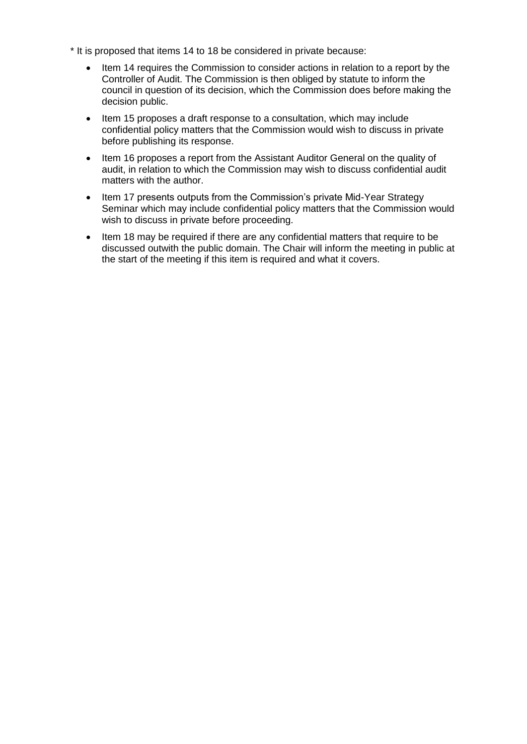- \* It is proposed that items 14 to 18 be considered in private because:
	- Item 14 requires the Commission to consider actions in relation to a report by the Controller of Audit. The Commission is then obliged by statute to inform the council in question of its decision, which the Commission does before making the decision public.
	- Item 15 proposes a draft response to a consultation, which may include confidential policy matters that the Commission would wish to discuss in private before publishing its response.
	- Item 16 proposes a report from the Assistant Auditor General on the quality of audit, in relation to which the Commission may wish to discuss confidential audit matters with the author.
	- Item 17 presents outputs from the Commission's private Mid-Year Strategy Seminar which may include confidential policy matters that the Commission would wish to discuss in private before proceeding.
	- Item 18 may be required if there are any confidential matters that require to be discussed outwith the public domain. The Chair will inform the meeting in public at the start of the meeting if this item is required and what it covers.